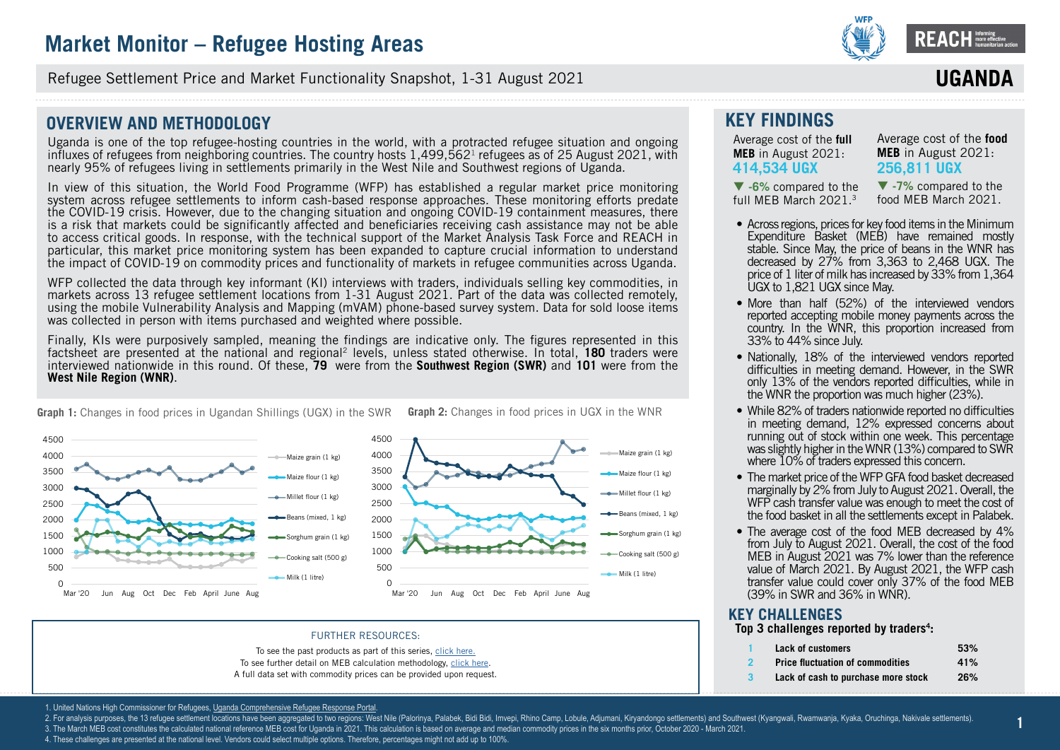

**ssssssss** Refugee Settlement Price and Market Functionality Snapshot, 1-31 August 2021

### **OVERVIEW AND METHODOLOGY**

Uganda is one of the top refugee-hosting countries in the world, with a protracted refugee situation and ongoing influxes of refugees from neighboring countries. The country hosts  $1,499,562<sup>1</sup>$  refugees as of 25 August 2021, with nearly 95% of refugees living in settlements primarily in the West Nile and Southwest regions of Uganda.

In view of this situation, the World Food Programme (WFP) has established a regular market price monitoring system across refugee settlements to inform cash-based response approaches. These monitoring efforts predate the COVID-19 crisis. However, due to the changing situation and ongoing COVID-19 containment measures, there is a risk that markets could be significantly affected and beneficiaries receiving cash assistance may not be able to access critical goods. In response, with the technical support of the Market Analysis Task Force and REACH in particular, this market price monitoring system has been expanded to capture crucial information to understand the impact of COVID-19 on commodity prices and functionality of markets in refugee communities across Uganda.

WFP collected the data through key informant (KI) interviews with traders, individuals selling key commodities, in markets across 13 refugee settlement locations from 1-31 August 2021. Part of the data was collected remotely, using the mobile Vulnerability Analysis and Mapping (mVAM) phone-based survey system. Data for sold loose items was collected in person with items purchased and weighted where possible.

Finally, KIs were purposively sampled, meaning the findings are indicative only. The figures represented in this factsheet are presented at the national and regional2 levels, unless stated otherwise. In total, **[180](DBF_num_assessed_national)** traders were interviewed nationwide in this round. Of these, **[79](DBF_num_assessed_south west)** were from the **Southwest Region (SWR)** and **[101](DBF_num_assessed_west nile)** were from the **West Nile Region (WNR)**.



**Graph 1:** Changes in food prices in Ugandan Shillings (UGX) in the SWR **Graph 2:** Changes in food prices in UGX in the WNR

#### FURTHER RESOURCES:

To see the past products as part of this series, [click here.](https://www.reachresourcecentre.info/country/uganda/cycle/28791/#cycle-28791) To see further detail on MEB calculation methodology, [click here.](https://data2.unhcr.org/en/documents/details/77858) A full data set with commodity prices can be provided upon request. **KEY FINDINGS**

Average cost of the **full MEB** in August 2021: **[414,534](DBF_national_national_meb_full) UGX** 

Average cost of the **food MEB** in August 2021: **[256,811](DBF_national_national_meb_food) UGX**

**IIGAN** 

 **[-6%](DBF_national_national_meb_full_perct_march)** compared to the full MEB March 2021.3

 **[-7](DBF_national_national_meb_food_perct_march)%** compared to the food MEB March 2021.

- Across regions, prices for key food items in the Minimum Expenditure Basket (MEB) have remained mostly stable. Since May, the price of beans in the WNR has decreased by 27% from 3,363 to 2,468 UGX. The price of 1 liter of milk has increased by 33% from 1,364 UGX to 1,821 UGX since May.
- More than half (52%) of the interviewed vendors reported accepting mobile money payments across the country. In the WNR, this proportion increased from 33% to 44% since July.
- Nationally, 18% of the interviewed vendors reported difficulties in meeting demand. However, in the SWR only 13% of the vendors reported difficulties, while in the WNR the proportion was much higher (23%).
- While 82% of traders nationwide reported no difficulties in meeting demand, 12% expressed concerns about running out of stock within one week. This percentage was slightly higher in the WNR (13%) compared to SWR where 10% of traders expressed this concern.
- The market price of the WFP GFA food basket decreased marginally by 2% from July to August 2021. Overall, the WFP cash transfer value was enough to meet the cost of the food basket in all the settlements except in Palabek.
- The average cost of the food MEB decreased by 4% from July to August 2021. Overall, the cost of the food MEB in August 2021 was 7% lower than the reference value of March 2021. By August 2021, the WFP cash transfer value could cover only 37% of the food MEB (39% in SWR and 36% in WNR).

### **KEY CHALLENGES Top 3 challenges reported by traders<sup>4</sup> :**

- **1 [Lack of customers](DBF_dependent.var.value_uganda_challenge_1) [53%](DBF_numbers_uganda_challenge_1)**
	- **2 [Price fluctuation of commodities](DBF_dependent.var.value_uganda_challenge_2) [41%](DBF_numbers_uganda_challenge_2)**
	- **3 [Lack of cash to purchase more stock](DBF_dependent.var.value_uganda_challenge_3) [26%](DBF_numbers_uganda_challenge_3)**

1. United Nations High Commissioner for Refugees, Uganda Comprehensive Refugee Response Portal

- 2. For analysis purposes, the 13 refugee settlement locations have been aggregated to two regions: West Nile (Palorinya, Palabek, Bidi Bidi, Imvepi, Rhino Camp, Lobule, Adjumani, Kiryandongo settlements) and Southwest (Kya
- 3. The March MEB cost constitutes the calculated national reference MEB cost for Uganda in 2021. This calculation is based on average and median commodity prices in the six months prior, October 2020 March 2021
- 4. These challenges are presented at the national level. Vendors could select multiple options. Therefore, percentages might not add up to 100%.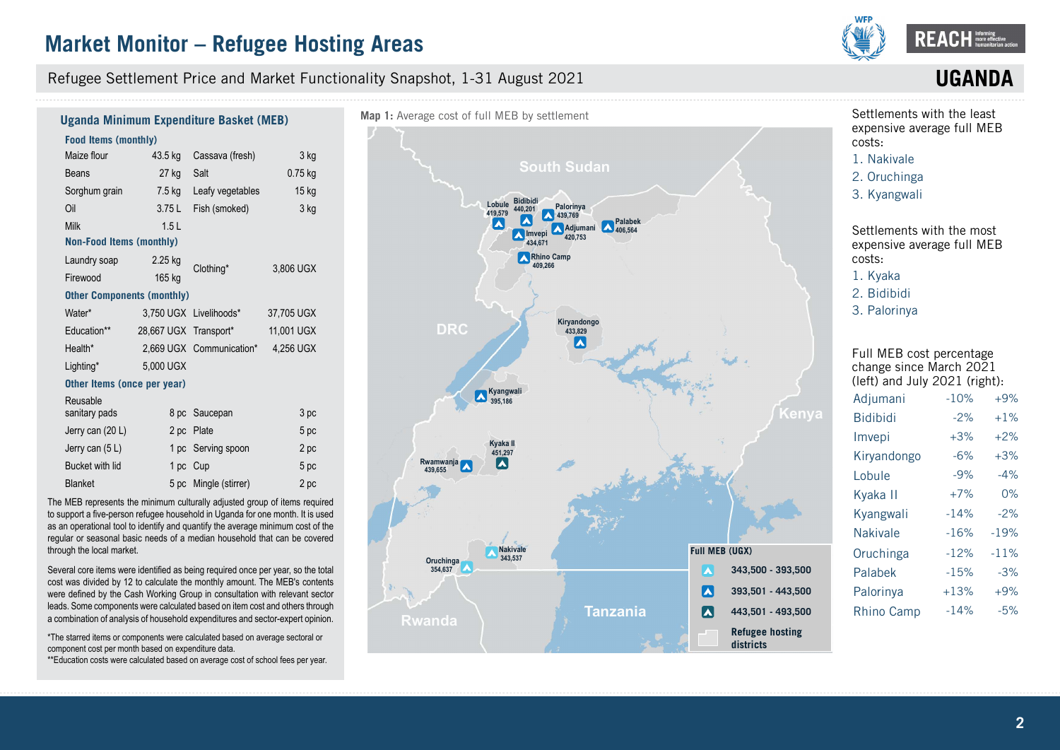Refugee Settlement Price and Market Functionality Snapshot, 1-31 August 2021



## **UGAN**

#### **Food Items (monthly)**  Maize flour Beans Sorghum grain Oil Milk 43.5 kg Cassava (fresh) 27 kg 7.5 kg 3.75 L 1.5 L Salt Leafy vegetables Fish (smoked) 3 kg 0.75 kg 15 kg 3 kg **Non-Food Items (monthly)** Laundry soap Firewood 2.25 kg 165 kg Clothing\* 3,806 UGX **Other Components (monthly)** Water\* Education\*\* Health\* Lighting\* 3,750 UGX Livelihoods\* 28,667 UGX Transport\* 2,669 UGX Communication\* 5,000 UGX 37,705 UGX 11,001 UGX 4,256 UGX **Other Items (once per year)** Reusable sanitary pads Jerry can (20 L) Jerry can (5 L) Bucket with lid Blanket 8 pc Saucepan 2 pc Plate 1 pc Serving spoon 1 pc Cup 5 pc Mingle (stirrer) 3 pc 5 pc 2 pc 5 pc  $2nc$ **Uganda Minimum Expenditure Basket (MEB)**

The MEB represents the minimum culturally adjusted group of items required to support a five-person refugee household in Uganda for one month. It is used as an operational tool to identify and quantify the average minimum cost of the regular or seasonal basic needs of a median household that can be covered through the local market.

Several core items were identified as being required once per year, so the total cost was divided by 12 to calculate the monthly amount. The MEB's contents were defined by the Cash Working Group in consultation with relevant sector leads. Some components were calculated based on item cost and others through a combination of analysis of household expenditures and sector-expert opinion.

\*The starred items or components were calculated based on average sectoral or component cost per month based on expenditure data.

\*\*Education costs were calculated based on average cost of school fees per year.



Settlements with the least expensive average full MEB costs:



3. [Kyangwali](DBF_expansive_rank_11)

Settlements with the most expensive average full MEB costs: 1. [Kyaka](DBF_expansive_rank_1)

2. [Bidibidi](DBF_expansive_rank_2)

3. [Palorinya](DBF_expansive_rank_3)

Full MEB cost percentage change since March 2021 (left) and July 2021 (right): Adiumani [-10](DBF_adjumani_meb_full_perct_march)% +[9](DBF_adjumani_meb_full_perct_last_round)% Bidibidi [-2](DBF_bidibidi_meb_full_perct_march)% +[1](DBF_bidibidi_meb_full_perct_last_round)%

| <b>Bidibidi</b>   | -2%    | $+1\%$ |
|-------------------|--------|--------|
| Imvepi            | $+3%$  | $+2%$  |
| Kiryandongo       | $-6%$  | $+3%$  |
| Lobule            | $-9%$  | $-4%$  |
| Kyaka II          | $+7%$  | 0%     |
| Kyangwali         | $-14%$ | $-2%$  |
| <b>Nakivale</b>   | $-16%$ | $-19%$ |
| Oruchinga         | $-12%$ | $-11%$ |
| Palabek           | $-15%$ | $-3%$  |
| Palorinya         | $+13%$ | $+9%$  |
| <b>Rhino Camp</b> | $-14%$ | $-5%$  |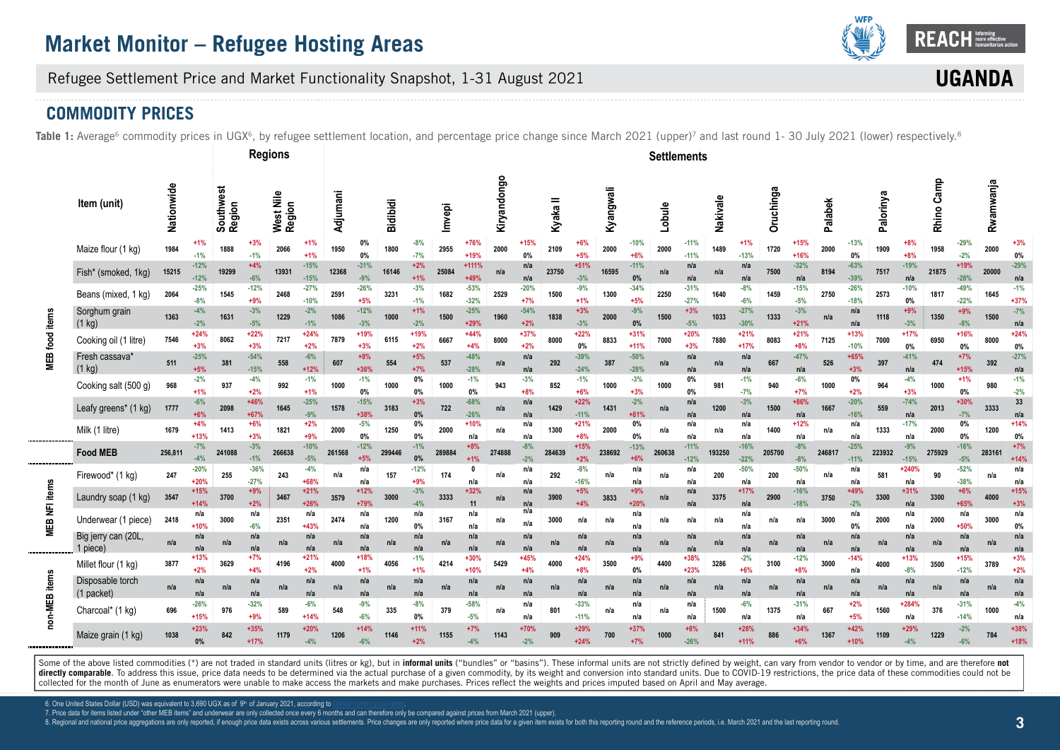

UGAN

Refugee Settlement Price and Market Functionality Snapshot, 1-31 August 2021

## **COMMODITY PRICES**

Table 1: Average<sup>6</sup> commodity prices in UGX<sup>6</sup>, by refugee settlement location, and percentage price change since March 2021 (upper)<sup>7</sup> and last round 1- 30 July 2021 (lower) respectively.<sup>8</sup>

|                  |                                    |            |                  |                     | <b>Regions</b>   |                     |                  |          |                 |                 |                 |        |                  |             |                 |          |                  |           |                  | <b>Settlements</b> |                  |          |                  |           |                  |         |                  |           |                 |            |                  |           |                  |
|------------------|------------------------------------|------------|------------------|---------------------|------------------|---------------------|------------------|----------|-----------------|-----------------|-----------------|--------|------------------|-------------|-----------------|----------|------------------|-----------|------------------|--------------------|------------------|----------|------------------|-----------|------------------|---------|------------------|-----------|-----------------|------------|------------------|-----------|------------------|
|                  | Item (unit)                        | Nationwide |                  | Southwest<br>Region |                  | West Nile<br>Region |                  | Adjumani |                 | <b>Bidibidi</b> |                 | Imvepi |                  | Kiryandongo |                 | Kyaka II |                  | Kyangwali |                  | Lobule             |                  | Nakivale |                  | Oruchinga |                  | Palabek |                  | Palorinya |                 | Rhino Camp |                  | Rwamwanja |                  |
|                  | Maize flour (1 kg)                 | 1984       | $-1%$            | 1888                | $+3%$<br>$-1%$   | 2066                | $+1%$<br>$+1%$   | 1950     | 0%<br>0%        | 1800            | $-8%$<br>$-7%$  | 2955   | $+76%$<br>$+19%$ | 2000        | $+15%$<br>0%    | 2109     | +6%<br>$+5%$     | 2000      | $-10%$<br>$+6%$  | 2000               | $-11%$<br>$-11%$ | 1489     | $+1%$<br>$-13%$  | 1720      | $+15%$<br>$+16%$ | 2000    | $-13%$<br>0%     | 1909      | +8%<br>$+8%$    | 1958       | $-29%$<br>$-2%$  | 2000      | $+39$<br>0%      |
|                  | Fish* (smoked, 1kg)                | 15215      | $-12%$<br>$-12%$ | 19299               | $+4%$<br>$-6%$   | 13931               | $-15%$<br>$-15%$ | 12368    | $-31%$<br>$-9%$ | 16146           | $+2%$<br>$+1%$  | 25084  | $+111%$<br>+49%  | n/a         | n/a<br>n/a      | 23750    | $+51%$<br>$-3%$  | 16595     | $-11%$<br>0%     | n/a                | n/a<br>n/a       | n/a      | n/a<br>n/a       | 7500      | $-32%$<br>n/a    | 8194    | $-63%$<br>$-39%$ | 7517      | $-19%$<br>n/a   | 21875      | +19%<br>$-28%$   | 20000     | $-29%$<br>n/a    |
|                  | Beans (mixed, 1 kg)                | 2064       | $-25%$<br>$-8%$  | 1545                | $-12%$<br>$+9%$  | 2468                | $-27%$<br>$-10%$ | 2591     | $-26%$<br>$+5%$ | 3231            | $-3%$<br>$-1%$  | 1682   | $-53%$<br>$-32%$ | 2529        | $-20%$<br>$+7%$ | 1500     | $-9%$<br>$+1%$   | 1300      | $-34%$<br>$+5%$  | 2250               | $-31%$<br>$-27%$ | 1640     | $-8%$<br>$-6%$   | 1459      | $-15%$<br>$-5%$  | 2750    | $-26%$<br>$-18%$ | 2573      | $-10%$<br>0%    | 1817       | $-49%$<br>$-22%$ | 1645      | $-1%$<br>$+37%$  |
|                  | Sorghum grain<br>$(1$ kg)          | 1363       | $-4%$<br>$-2%$   | 1631                | $-3%$<br>$-5%$   | 1229                | $-2%$<br>$-1%$   | 1086     | $-12%$<br>$-3%$ | 1000            | $+1%$<br>$-2%$  | 1500   | $-25%$<br>$+29%$ | 1960        | $-54%$<br>$+2%$ | 1838     | $+3%$<br>$-3%$   | 2000      | $-9%$<br>0%      | 1500               | $+3%$<br>$-5%$   | 1033     | $-27%$<br>$-30%$ | 1333      | $-3%$<br>$+21%$  | n/a     | n/a<br>n/a       | 1118      | +9%<br>$-3%$    | 1350       | $+9%$<br>$-8%$   | 1500      | $-7%$<br>n/a     |
| food item        | Cooking oil (1 litre)              | 7546       | $+24%$<br>$+3%$  | 8062                | $+22%$<br>$+3%$  | 7217                | $+24%$<br>$+2%$  | 7879     | +19%<br>$+3%$   | 6115            | +19%<br>$+2%$   | 6667   | $+44%$<br>$+4%$  | 8000        | $+37%$<br>$+2%$ | 8000     | $+22%$<br>$0\%$  | 8833      | $+31%$<br>$+11%$ | 7000               | $+20%$<br>$+3%$  | 7880     | $+21%$<br>$+17%$ | 8083      | $+21%$<br>$+8%$  | 7125    | $+13%$<br>$-10%$ | 7000      | $+17%$<br>$0\%$ | 6950       | +16%<br>0%       | 8000      | $+24%$<br>0%     |
| MEB <sup>-</sup> | Fresh cassava*<br>$(1 \text{ kg})$ | 511        | $-25%$<br>$+5%$  | 381                 | $-54%$<br>$-15%$ | 558                 | $-6%$<br>$+12%$  | 607      | $+8%$<br>$+36%$ | 554             | $+5%$<br>+7%    | 537    | $-48%$<br>$-28%$ | n/a         | n/a<br>n/a      | 292      | $-39%$<br>$-24%$ | 387       | $-50%$<br>$-28%$ | n/a                | n/a<br>n/a       | n/a      | n/a<br>n/a       | 667       | $-47%$<br>n/a    | 526     | $+65%$<br>$+3%$  | 397       | $-41%$<br>n/a   | 474        | $+7%$<br>$+15%$  | 392       | $-27%$<br>n/a    |
|                  | Cooking salt (500 g)               | 968        | $-2%$<br>$+1%$   | 937                 | $-4%$<br>$+2%$   | 992                 | $-1%$<br>$+1%$   | 1000     | $-1%$<br>0%     | 1000            | 0%<br>0%        | 1000   | $-1%$<br>0%      | 943         | $-3%$<br>$+8%$  | 852      | $-1%$<br>$+6%$   | 1000      | $-3%$<br>$+3%$   | 1000               | 0%<br>$0\%$      | 981      | $-1%$<br>$-7%$   | 940       | $-6%$<br>$+7%$   | 1000    | 0%<br>$+2%$      | 964       | $-4%$<br>$+3%$  | 1000       | $+1%$<br>$0\%$   | 980       | $-1%$<br>$-2%$   |
|                  | Leafy greens* (1 kg)               | 1777       | $-6%$<br>$+6%$   | 2098                | $+46%$<br>$+67%$ | 1645                | $-25%$<br>$-9%$  | 1578     | $-15%$<br>+38%  | 3183            | $+3%$<br>0%     | 722    | $-68%$<br>$-26%$ | n/a         | n/a<br>n/a      | 1429     | $+22%$<br>$-11%$ | 1431      | $-2%$<br>$+81%$  | n/a                | n/a<br>n/a       | 1200     | $-3%$<br>n/a     | 1500      | +86%<br>n/a      | 1667    | $-20%$<br>$-16%$ | 559       | $-74%$<br>n/a   | 2013       | $+30%$<br>$-7%$  | 3333      | 33<br>n/a        |
|                  | Milk (1 litre)                     | 1679       | $+4%$<br>$+13%$  | 1413                | $+6%$<br>$+3%$   | 1821                | $+2%$<br>$+9%$   | 2000     | $-5%$<br>0%     | 1250            | 0%<br>0%        | 2000   | $+10%$<br>n/a    | n/a         | n/a<br>n/a      | 1300     | $+21%$<br>$+8%$  | 2000      | 0%<br>0%         | n/a                | n/a<br>n/a       | n/a      | n/a<br>n/a       | 1400      | $+12%$<br>n/a    | n/a     | n/a<br>n/a       | 1333      | $-17%$<br>n/a   | 2000       | $0\%$<br>$0\%$   | 1200      | $+14%$<br>0%     |
|                  | <b>Food MEB</b>                    | 256,811    | $-7%$<br>$-4%$   | 241088              | $-3%$<br>$-1%$   | 266638              | $-10%$<br>$-5%$  | 261568   | $-12%$<br>$+5%$ | 299446          | $-1%$<br>0%     | 289884 | $+8%$            | 274888      | $-8%$<br>$-2%$  | 284639   | $+15%$<br>$+2%$  | 238692    | $-13%$<br>$+6%$  | 260638             | $-11%$<br>$-12%$ | 193250   | $-16%$<br>$-22%$ | 205700    | $-8%$<br>$-8%$   | 246817  | $-25%$<br>$-11%$ | 223932    | $-9%$<br>$-15%$ | 275929     | $-16%$<br>$-5%$  | 283161    | $+7%$<br>$+14%$  |
|                  | Firewood* (1 kg)                   | 247        | $-20%$<br>$+20%$ | 255                 | $-36%$<br>$-27%$ | 243                 | $-4%$<br>+68%    | n/a      | n/a<br>n/a      | 157             | $-12%$<br>+9%   | 174    | n/a              | n/a         | n/a<br>n/a      | 292      | $-8%$<br>$-16%$  | n/a       | n/a<br>n/a       | n/a                | n/a<br>n/a       | 200      | $-50%$<br>n/a    | 200       | $-50%$<br>n/a    | n/a     | n/a<br>n/a       | 581       | $+240%$<br>n/a  | 90         | $-52%$<br>$-38%$ | n/a       | n/a<br>n/a       |
|                  | Laundry soap (1 kg)                | 3547       | +15%<br>$+14%$   | 3700                | $+9%$<br>$+2%$   | 3467                | $+21%$<br>$+26%$ | 3579     | $+12%$<br>+79%  | 3000            | $-3%$<br>$-4%$  | 3333   | $+32%$           | n/a         | n/a<br>n/a      | 3900     | $+5%$<br>$+4%$   | 3833      | $+9%$<br>$+20%$  | n/a                | n/a<br>n/a       | 3375     | $+17%$<br>n/a    | 2900      | $-16%$<br>$-18%$ | 3750    | $+49%$<br>$-2%$  | 3300      | $+31%$<br>n/a   | 3300       | $+6%$<br>+65%    | 4000      | $+15%$<br>$+3%$  |
| MEB NFI items    | Underwear (1 piece)                | 2418       | n/a<br>$+10%$    | 3000                | n/a<br>$-6%$     | 2351                | n/a<br>$+43%$    | 2474     | n/a<br>n/a      | 1200            | n/a<br>0%       | 3167   | n/a<br>n/a       | n/a         | n/a<br>n/a      | 3000     | n/a              | n/a       | n/a<br>n/a       | n/a                | n/a              | n/a      | n/a<br>n/a       | n/a       | n/a              | 3000    | n/a<br>0%        | 2000      | n/a<br>n/a      | 2000       | n/a<br>+50%      | 3000      | n/a<br>0%        |
|                  | Big jerry can (20L,<br>1 piece)    | n/a        | n/a<br>n/a       | n/a                 | n/a<br>n/a       | n/a                 | n/a<br>n/a       | n/a      | n/a<br>n/a      | n/a             | n/a<br>n/a      | n/a    | n/a<br>n/a       | n/a         | n/a<br>n/a      | n/a      | n/a<br>n/a       | n/a       | n/a<br>n/a       | n/a                | n/a<br>n/a       | n/a      | n/a<br>n/a       | n/a       | n/a<br>n/a       | n/a     | n/a<br>n/a       | n/a       | n/a<br>n/a      | n/a        | n/a<br>n/a       | n/a       | n/a<br>n/a       |
|                  | Millet flour (1 kg)                | 3877       | $+13%$<br>$+2%$  | 3629                | $+7%$<br>$+4%$   | 4196                | $+21%$<br>$+2%$  | 4000     | $+18%$<br>$+1%$ | 4056            | $-1%$<br>$+1%$  | 4214   | $+30%$<br>$+10%$ | 5429        | $+45%$<br>$+4%$ | 4000     | $+24%$<br>$+8%$  | 3500      | +9%<br>0%        | 4400               | +38%<br>$+23%$   | 3286     | $-2%$<br>$+6%$   | 3100      | $-12%$<br>$+8%$  | 3000    | $-14%$<br>n/a    | 4000      | $+13%$<br>$-8%$ | 3500       | +15%<br>$-12%$   | 3789      | $+3%$<br>$+2%$   |
|                  | Disposable torch<br>(1 packet)     | n/a        | n/a<br>n/a       | n/a                 | n/a<br>n/a       | n/a                 | n/a<br>n/a       | n/a      | n/a<br>n/a      | n/a             | n/a<br>n/a      | n/a    | n/a<br>n/a       | n/a         | n/a<br>n/a      | n/a      | n/a<br>n/a       | n/a       | n/a<br>n/a       | n/a                | n/a<br>n/a       | n/a      | n/a<br>n/a       | n/a       | n/a<br>n/a       | n/a     | n/a<br>n/a       | n/a       | n/a<br>n/a      | n/a        | n/a<br>n/a       | n/a       | n/a<br>n/a       |
| non-MEB items    | Charcoal* (1 kg)                   | 696        | $-26%$<br>$+15%$ | 976                 | $-32%$<br>$+9%$  | 589                 | $-6%$<br>$+14%$  | 548      | $-9%$<br>$-6%$  | 335             | $-8%$<br>0%     | 379    | $-58%$<br>$-5%$  | n/a         | n/a<br>n/a      | 801      | $-33%$<br>$-11%$ | n/a       | n/a<br>n/a       | n/a                | n/a<br>n/a       | 1500     | $-6%$<br>n/a     | 1375      | $-31%$<br>n/a    | 667     | $+2%$<br>$+5%$   | 1560      | +284%<br>n/a    | 376        | $-31%$<br>$-14%$ | 1000      | $-4%$<br>n/a     |
|                  | Maize grain (1 kg)                 | 1038       | $+23%$<br>0%     | 842                 | $+35%$<br>$+17%$ | 1179                | $+20%$<br>$-4%$  | 1206     | $+14%$<br>$-6%$ | 1146            | $+11%$<br>$+2%$ | 1155   | $+7%$<br>$-4%$   | 1143        | +70%<br>$-2%$   | 909      | $+29%$<br>$+24%$ | 700       | $+37%$<br>$+7%$  | 1000               | $+8%$<br>$-26%$  | 841      | $+28%$<br>$+11%$ | 886       | $+34%$<br>$+6%$  | 1367    | $+42%$<br>$+10%$ | 1109      | $+29%$<br>$-4%$ | 1229       | $-2%$<br>$-6%$   | 784       | $+38%$<br>$+189$ |

Some of the above listed commodities (\*) are not traded in standard units (litres or kg), but in informal units ("bundles" or "basins"). These informal units are not strictly defined by weight, can vary from vendor to vend directly comparable. To address this issue, price data needs to be determined via the actual purchase of a given commodity, by its weight and conversion into standard units. Due to COVID-19 restrictions, the price data of collected for the month of June as enumerators were unable to make access the markets and make purchases. Prices reflect the weights and prices imputed based on April and May average.

6. One United States Dollar (USD) was equivalent to 3,690 UGX as of 9th of January 2021, according to

7. Price data for items listed under "other MEB items" and underwear are only collected once every 6 months and can therefore only be compared against prices from March 2021 (upper).

8. Regional and national price aggregations are only reported, if enough price data exists across various settlements. Price changes are only reported where price data for a given item exists for both this reporting round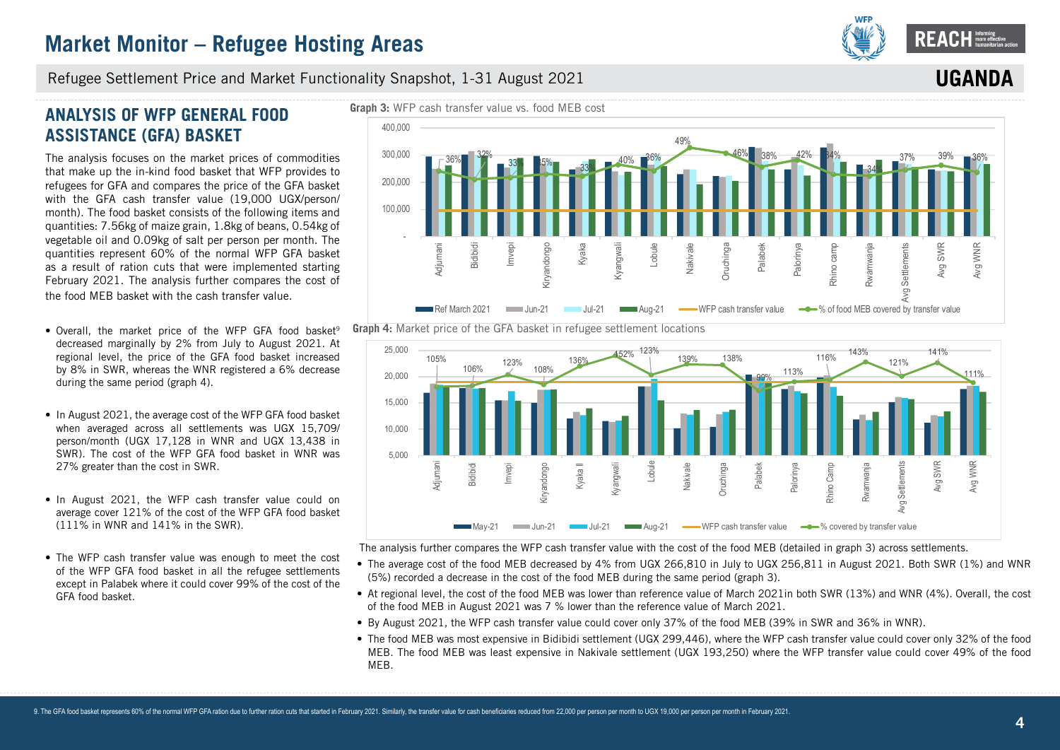

**UGANDA**

### Refugee Settlement Price and Market Functionality Snapshot, 1-31 August 2021

## **ANALYSIS OF WFP GENERAL FOOD ASSISTANCE (GFA) BASKET**

The analysis focuses on the market prices of commodities that make up the in-kind food basket that WFP provides to refugees for GFA and compares the price of the GFA basket with the GFA cash transfer value (19,000 UGX/person/ month). The food basket consists of the following items and quantities: 7.56kg of maize grain, 1.8kg of beans, 0.54kg of vegetable oil and 0.09kg of salt per person per month. The quantities represent 60% of the normal WFP GFA basket as a result of ration cuts that were implemented starting February 2021. The analysis further compares the cost of the food MEB basket with the cash transfer value.

- Overall, the market price of the WFP GFA food basket<sup>9</sup> decreased marginally by 2% from July to August 2021. At regional level, the price of the GFA food basket increased by 8% in SWR, whereas the WNR registered a 6% decrease during the same period (graph 4).
- In August 2021, the average cost of the WFP GFA food basket when averaged across all settlements was UGX 15,709/ person/month (UGX 17,128 in WNR and UGX 13,438 in SWR). The cost of the WFP GFA food basket in WNR was 27% greater than the cost in SWR.
- In August 2021, the WFP cash transfer value could on average cover 121% of the cost of the WFP GFA food basket (111% in WNR and 141% in the SWR).
- The WFP cash transfer value was enough to meet the cost of the WFP GFA food basket in all the refugee settlements except in Palabek where it could cover 99% of the cost of the GFA food basket.







The analysis further compares the WFP cash transfer value with the cost of the food MEB (detailed in graph 3) across settlements.

- The average cost of the food MEB decreased by 4% from UGX 266,810 in July to UGX 256,811 in August 2021. Both SWR (1%) and WNR (5%) recorded a decrease in the cost of the food MEB during the same period (graph 3).
- At regional level, the cost of the food MEB was lower than reference value of March 2021in both SWR (13%) and WNR (4%). Overall, the cost of the food MEB in August 2021 was 7 % lower than the reference value of March 2021.
- By August 2021, the WFP cash transfer value could cover only 37% of the food MEB (39% in SWR and 36% in WNR).
- The food MEB was most expensive in Bidibidi settlement (UGX 299,446), where the WFP cash transfer value could cover only 32% of the food MEB. The food MEB was least expensive in Nakivale settlement (UGX 193,250) where the WFP transfer value could cover 49% of the food MEB.